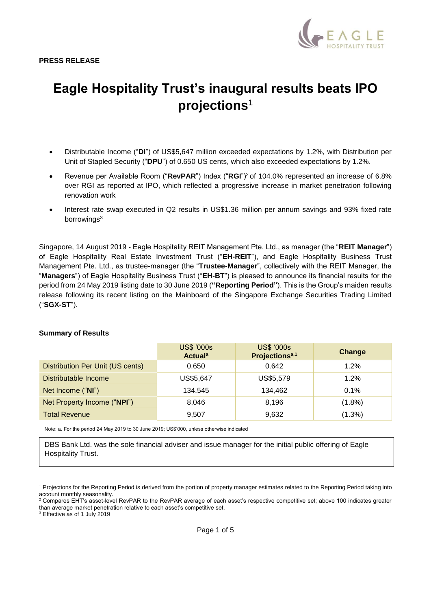

# **Eagle Hospitality Trust's inaugural results beats IPO projections**<sup>1</sup>

- Distributable Income ("**DI**") of US\$5,647 million exceeded expectations by 1.2%, with Distribution per Unit of Stapled Security ("**DPU**") of 0.650 US cents, which also exceeded expectations by 1.2%.
- Revenue per Available Room ("**RevPAR**") Index ("**RGI**")<sup>2</sup> of 104.0% represented an increase of 6.8% over RGI as reported at IPO, which reflected a progressive increase in market penetration following renovation work
- Interest rate swap executed in Q2 results in US\$1.36 million per annum savings and 93% fixed rate borrowings<sup>3</sup>

Singapore, 14 August 2019 - Eagle Hospitality REIT Management Pte. Ltd., as manager (the "**REIT Manager**") of Eagle Hospitality Real Estate Investment Trust ("**EH-REIT**"), and Eagle Hospitality Business Trust Management Pte. Ltd., as trustee-manager (the "**Trustee-Manager**", collectively with the REIT Manager, the "**Managers**") of Eagle Hospitality Business Trust ("**EH-BT**") is pleased to announce its financial results for the period from 24 May 2019 listing date to 30 June 2019 (**"Reporting Period"**). This is the Group's maiden results release following its recent listing on the Mainboard of the Singapore Exchange Securities Trading Limited ("**SGX-ST**").

#### **Summary of Results**

|                                  | <b>US\$ '000s</b><br><b>Actual</b> <sup>a</sup> | <b>US\$ '000s</b><br>Projections <sup>a,1</sup> | Change    |
|----------------------------------|-------------------------------------------------|-------------------------------------------------|-----------|
| Distribution Per Unit (US cents) | 0.650                                           | 0.642                                           | 1.2%      |
| Distributable Income             | US\$5,647                                       | US\$5,579                                       | $1.2\%$   |
| Net Income ("NI")                | 134.545                                         | 134,462                                         | 0.1%      |
| Net Property Income ("NPI")      | 8.046                                           | 8.196                                           | $(1.8\%)$ |
| <b>Total Revenue</b>             | 9,507                                           | 9,632                                           | $(1.3\%)$ |

Note: a. For the period 24 May 2019 to 30 June 2019; US\$'000, unless otherwise indicated

DBS Bank Ltd. was the sole financial adviser and issue manager for the initial public offering of Eagle Hospitality Trust.

<sup>3</sup> Effective as of 1 July 2019

<sup>1</sup> Projections for the Reporting Period is derived from the portion of property manager estimates related to the Reporting Period taking into account monthly seasonality.

<sup>&</sup>lt;sup>2</sup> Compares EHT's asset-level RevPAR to the RevPAR average of each asset's respective competitive set; above 100 indicates greater than average market penetration relative to each asset's competitive set.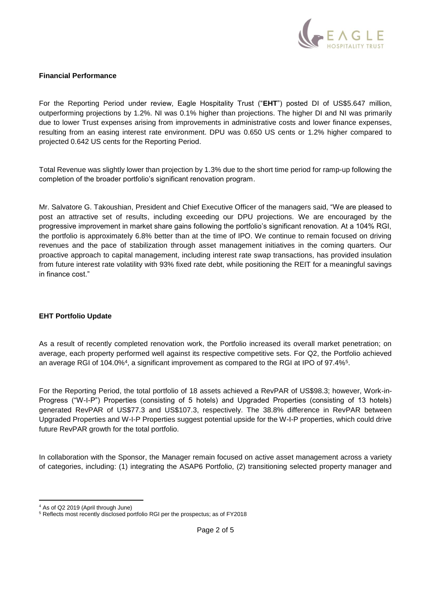

#### **Financial Performance**

For the Reporting Period under review, Eagle Hospitality Trust ("**EHT**") posted DI of US\$5.647 million, outperforming projections by 1.2%. NI was 0.1% higher than projections. The higher DI and NI was primarily due to lower Trust expenses arising from improvements in administrative costs and lower finance expenses, resulting from an easing interest rate environment. DPU was 0.650 US cents or 1.2% higher compared to projected 0.642 US cents for the Reporting Period.

Total Revenue was slightly lower than projection by 1.3% due to the short time period for ramp-up following the completion of the broader portfolio's significant renovation program.

Mr. Salvatore G. Takoushian, President and Chief Executive Officer of the managers said, "We are pleased to post an attractive set of results, including exceeding our DPU projections. We are encouraged by the progressive improvement in market share gains following the portfolio's significant renovation. At a 104% RGI, the portfolio is approximately 6.8% better than at the time of IPO. We continue to remain focused on driving revenues and the pace of stabilization through asset management initiatives in the coming quarters. Our proactive approach to capital management, including interest rate swap transactions, has provided insulation from future interest rate volatility with 93% fixed rate debt, while positioning the REIT for a meaningful savings in finance cost."

## **EHT Portfolio Update**

As a result of recently completed renovation work, the Portfolio increased its overall market penetration; on average, each property performed well against its respective competitive sets. For Q2, the Portfolio achieved an average RGI of 104.0%<sup>4</sup>, a significant improvement as compared to the RGI at IPO of 97.4%<sup>5</sup>.

For the Reporting Period, the total portfolio of 18 assets achieved a RevPAR of US\$98.3; however, Work-in-Progress ("W-I-P") Properties (consisting of 5 hotels) and Upgraded Properties (consisting of 13 hotels) generated RevPAR of US\$77.3 and US\$107.3, respectively. The 38.8% difference in RevPAR between Upgraded Properties and W-I-P Properties suggest potential upside for the W-I-P properties, which could drive future RevPAR growth for the total portfolio.

In collaboration with the Sponsor, the Manager remain focused on active asset management across a variety of categories, including: (1) integrating the ASAP6 Portfolio, (2) transitioning selected property manager and

<sup>4</sup> As of Q2 2019 (April through June)

<sup>5</sup> Reflects most recently disclosed portfolio RGI per the prospectus; as of FY2018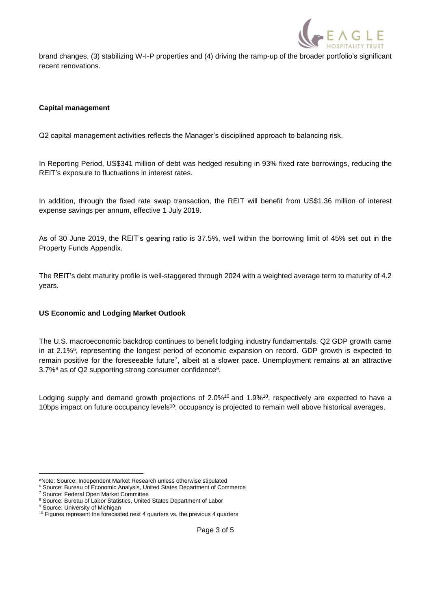

brand changes, (3) stabilizing W-I-P properties and (4) driving the ramp-up of the broader portfolio's significant recent renovations.

## **Capital management**

Q2 capital management activities reflects the Manager's disciplined approach to balancing risk.

In Reporting Period, US\$341 million of debt was hedged resulting in 93% fixed rate borrowings, reducing the REIT's exposure to fluctuations in interest rates.

In addition, through the fixed rate swap transaction, the REIT will benefit from US\$1.36 million of interest expense savings per annum, effective 1 July 2019.

As of 30 June 2019, the REIT's gearing ratio is 37.5%, well within the borrowing limit of 45% set out in the Property Funds Appendix.

The REIT's debt maturity profile is well-staggered through 2024 with a weighted average term to maturity of 4.2 years.

## **US Economic and Lodging Market Outlook**

The U.S. macroeconomic backdrop continues to benefit lodging industry fundamentals. Q2 GDP growth came in at 2.1%<sup>6</sup>, representing the longest period of economic expansion on record. GDP growth is expected to remain positive for the foreseeable future<sup>7</sup>, albeit at a slower pace. Unemployment remains at an attractive 3.7%<sup>8</sup> as of Q2 supporting strong consumer confidence<sup>9</sup>.

Lodging supply and demand growth projections of 2.0%<sup>10</sup> and 1.9%<sup>10</sup>, respectively are expected to have a 10bps impact on future occupancy levels<sup>10</sup>; occupancy is projected to remain well above historical averages.

<sup>\*</sup>Note: Source: Independent Market Research unless otherwise stipulated

<sup>6</sup> Source: Bureau of Economic Analysis, United States Department of Commerce

<sup>7</sup> Source: Federal Open Market Committee

<sup>&</sup>lt;sup>8</sup> Source: Bureau of Labor Statistics, United States Department of Labor

<sup>&</sup>lt;sup>9</sup> Source: University of Michigan

<sup>&</sup>lt;sup>10</sup> Figures represent the forecasted next 4 quarters vs. the previous 4 quarters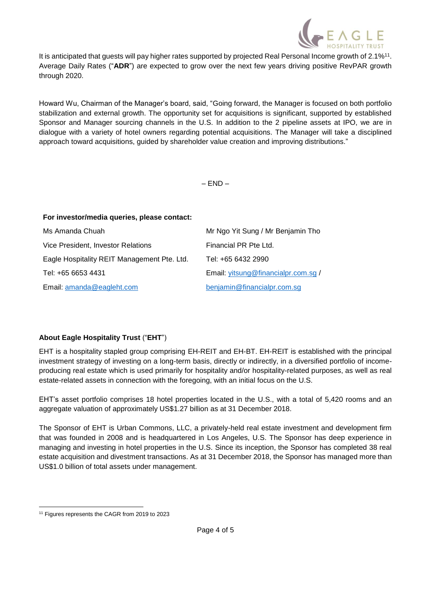

It is anticipated that guests will pay higher rates supported by projected Real Personal Income growth of 2.1%<sup>11</sup>. Average Daily Rates ("**ADR**") are expected to grow over the next few years driving positive RevPAR growth through 2020.

Howard Wu, Chairman of the Manager's board, said, "Going forward, the Manager is focused on both portfolio stabilization and external growth. The opportunity set for acquisitions is significant, supported by established Sponsor and Manager sourcing channels in the U.S. In addition to the 2 pipeline assets at IPO, we are in dialogue with a variety of hotel owners regarding potential acquisitions. The Manager will take a disciplined approach toward acquisitions, guided by shareholder value creation and improving distributions."

 $-$  END  $-$ 

| For investor/media queries, please contact: |                                     |  |
|---------------------------------------------|-------------------------------------|--|
| Ms Amanda Chuah                             | Mr Ngo Yit Sung / Mr Benjamin Tho   |  |
| Vice President, Investor Relations          | Financial PR Pte Ltd.               |  |
| Eagle Hospitality REIT Management Pte. Ltd. | Tel: +65 6432 2990                  |  |
| Tel: +65 6653 4431                          | Email: yitsung@financialpr.com.sg / |  |
| Email: amanda@eagleht.com                   | benjamin@financialpr.com.sg         |  |

## **About Eagle Hospitality Trust** ("**EHT**")

EHT is a hospitality stapled group comprising EH-REIT and EH-BT. EH-REIT is established with the principal investment strategy of investing on a long-term basis, directly or indirectly, in a diversified portfolio of incomeproducing real estate which is used primarily for hospitality and/or hospitality-related purposes, as well as real estate-related assets in connection with the foregoing, with an initial focus on the U.S.

EHT's asset portfolio comprises 18 hotel properties located in the U.S., with a total of 5,420 rooms and an aggregate valuation of approximately US\$1.27 billion as at 31 December 2018.

The Sponsor of EHT is Urban Commons, LLC, a privately-held real estate investment and development firm that was founded in 2008 and is headquartered in Los Angeles, U.S. The Sponsor has deep experience in managing and investing in hotel properties in the U.S. Since its inception, the Sponsor has completed 38 real estate acquisition and divestment transactions. As at 31 December 2018, the Sponsor has managed more than US\$1.0 billion of total assets under management.

<sup>&</sup>lt;sup>11</sup> Figures represents the CAGR from 2019 to 2023